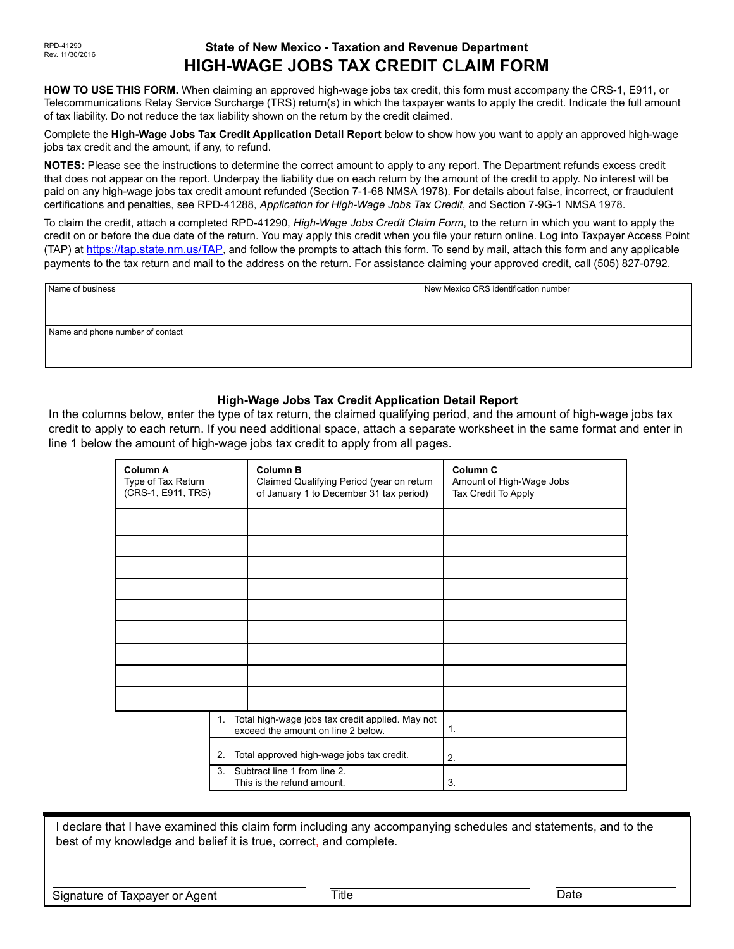# **State of New Mexico - Taxation and Revenue Department HIGH-WAGE JOBS TAX CREDIT CLAIM FORM**

**HOW TO USE THIS FORM.** When claiming an approved high-wage jobs tax credit, this form must accompany the CRS-1, E911, or Telecommunications Relay Service Surcharge (TRS) return(s) in which the taxpayer wants to apply the credit. Indicate the full amount of tax liability. Do not reduce the tax liability shown on the return by the credit claimed.

Complete the **High-Wage Jobs Tax Credit Application Detail Report** below to show how you want to apply an approved high-wage jobs tax credit and the amount, if any, to refund.

**NOTES:** Please see the instructions to determine the correct amount to apply to any report. The Department refunds excess credit that does not appear on the report. Underpay the liability due on each return by the amount of the credit to apply. No interest will be paid on any high-wage jobs tax credit amount refunded (Section 7-1-68 NMSA 1978). For details about false, incorrect, or fraudulent certifications and penalties, see RPD-41288, *Application for High-Wage Jobs Tax Credit*, and Section 7-9G-1 NMSA 1978.

To claim the credit, attach a completed RPD-41290, *High-Wage Jobs Credit Claim Form*, to the return in which you want to apply the credit on or before the due date of the return. You may apply this credit when you file your return online. Log into Taxpayer Access Point (TAP) at [https://tap.state.nm.us/TAP,](https://tap.state.nm.us/TAP) and follow the prompts to attach this form. To send by mail, attach this form and any applicable payments to the tax return and mail to the address on the return. For assistance claiming your approved credit, call (505) 827-0792.

| Name of business                 | New Mexico CRS identification number |  |  |  |  |  |
|----------------------------------|--------------------------------------|--|--|--|--|--|
|                                  |                                      |  |  |  |  |  |
|                                  |                                      |  |  |  |  |  |
| Name and phone number of contact |                                      |  |  |  |  |  |
|                                  |                                      |  |  |  |  |  |
|                                  |                                      |  |  |  |  |  |

### **High-Wage Jobs Tax Credit Application Detail Report**

In the columns below, enter the type of tax return, the claimed qualifying period, and the amount of high-wage jobs tax credit to apply to each return. If you need additional space, attach a separate worksheet in the same format and enter in line 1 below the amount of high-wage jobs tax credit to apply from all pages.

| Column A<br>Type of Tax Return<br>(CRS-1, E911, TRS)                                                             |    | <b>Column B</b><br>Claimed Qualifying Period (year on return<br>of January 1 to December 31 tax period) | Column <sub>C</sub><br>Amount of High-Wage Jobs<br>Tax Credit To Apply |
|------------------------------------------------------------------------------------------------------------------|----|---------------------------------------------------------------------------------------------------------|------------------------------------------------------------------------|
|                                                                                                                  |    |                                                                                                         |                                                                        |
|                                                                                                                  |    |                                                                                                         |                                                                        |
|                                                                                                                  |    |                                                                                                         |                                                                        |
|                                                                                                                  |    |                                                                                                         |                                                                        |
|                                                                                                                  |    |                                                                                                         |                                                                        |
|                                                                                                                  |    |                                                                                                         |                                                                        |
|                                                                                                                  |    |                                                                                                         |                                                                        |
|                                                                                                                  |    |                                                                                                         |                                                                        |
|                                                                                                                  |    |                                                                                                         |                                                                        |
|                                                                                                                  | 1. | Total high-wage jobs tax credit applied. May not<br>exceed the amount on line 2 below.                  | 1.                                                                     |
| Total approved high-wage jobs tax credit.<br>2.<br>3. Subtract line 1 from line 2.<br>This is the refund amount. |    |                                                                                                         | 2.                                                                     |
|                                                                                                                  |    |                                                                                                         | 3.                                                                     |

I declare that I have examined this claim form including any accompanying schedules and statements, and to the best of my knowledge and belief it is true, correct, and complete.